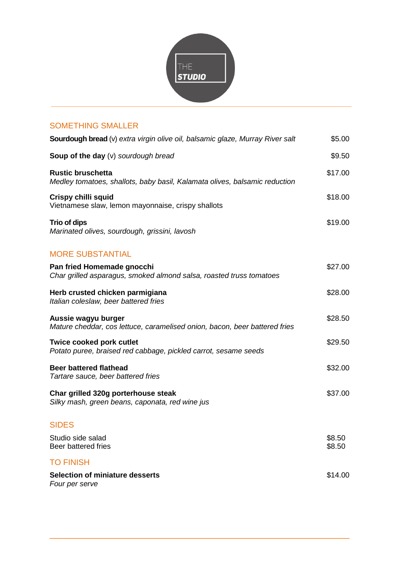

## SOMETHING SMALLER

| Sourdough bread (v) extra virgin olive oil, balsamic glaze, Murray River salt                          | \$5.00           |
|--------------------------------------------------------------------------------------------------------|------------------|
| Soup of the day (v) sourdough bread                                                                    | \$9.50           |
| <b>Rustic bruschetta</b><br>Medley tomatoes, shallots, baby basil, Kalamata olives, balsamic reduction | \$17.00          |
| <b>Crispy chilli squid</b><br>Vietnamese slaw, lemon mayonnaise, crispy shallots                       | \$18.00          |
| Trio of dips<br>Marinated olives, sourdough, grissini, lavosh                                          | \$19.00          |
| <b>MORE SUBSTANTIAL</b>                                                                                |                  |
| Pan fried Homemade gnocchi<br>Char grilled asparagus, smoked almond salsa, roasted truss tomatoes      | \$27.00          |
| Herb crusted chicken parmigiana<br>Italian coleslaw, beer battered fries                               | \$28.00          |
| Aussie wagyu burger<br>Mature cheddar, cos lettuce, caramelised onion, bacon, beer battered fries      | \$28.50          |
| Twice cooked pork cutlet<br>Potato puree, braised red cabbage, pickled carrot, sesame seeds            | \$29.50          |
| <b>Beer battered flathead</b><br>Tartare sauce, beer battered fries                                    | \$32.00          |
| Char grilled 320g porterhouse steak<br>Silky mash, green beans, caponata, red wine jus                 | \$37.00          |
| <b>SIDES</b>                                                                                           |                  |
| Studio side salad<br>Beer battered fries                                                               | \$8.50<br>\$8.50 |
| <b>TO FINISH</b>                                                                                       |                  |
| <b>Selection of miniature desserts</b><br>Four per serve                                               | \$14.00          |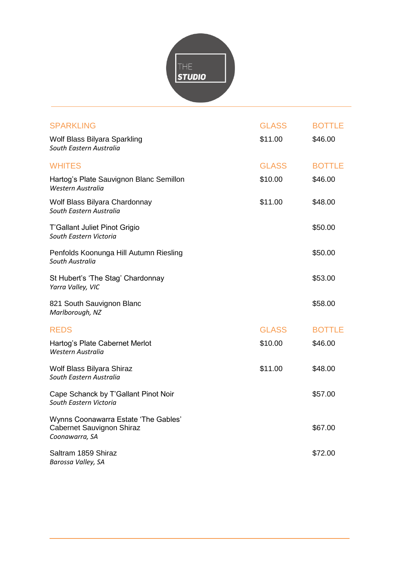

| <b>SPARKLING</b>                                                                    | <b>GLASS</b> | <b>BOTTLE</b> |
|-------------------------------------------------------------------------------------|--------------|---------------|
| Wolf Blass Bilyara Sparkling<br>South Eastern Australia                             | \$11.00      | \$46.00       |
| <b>WHITES</b>                                                                       | <b>GLASS</b> | <b>BOTTLE</b> |
| Hartog's Plate Sauvignon Blanc Semillon<br>Western Australia                        | \$10.00      | \$46.00       |
| Wolf Blass Bilyara Chardonnay<br>South Eastern Australia                            | \$11.00      | \$48.00       |
| T'Gallant Juliet Pinot Grigio<br>South Eastern Victoria                             |              | \$50.00       |
| Penfolds Koonunga Hill Autumn Riesling<br>South Australia                           |              | \$50.00       |
| St Hubert's 'The Stag' Chardonnay<br>Yarra Valley, VIC                              |              | \$53.00       |
| 821 South Sauvignon Blanc<br>Marlborough, NZ                                        |              | \$58.00       |
| <b>REDS</b>                                                                         | <b>GLASS</b> | <b>BOTTLE</b> |
| Hartog's Plate Cabernet Merlot<br>Western Australia                                 | \$10.00      | \$46.00       |
| Wolf Blass Bilyara Shiraz<br>South Eastern Australia                                | \$11.00      | \$48.00       |
| Cape Schanck by T'Gallant Pinot Noir<br>South Eastern Victoria                      |              | \$57.00       |
| Wynns Coonawarra Estate 'The Gables'<br>Cabernet Sauvignon Shiraz<br>Coonawarra, SA |              | \$67.00       |
| Saltram 1859 Shiraz<br>Barossa Valley, SA                                           |              | \$72.00       |